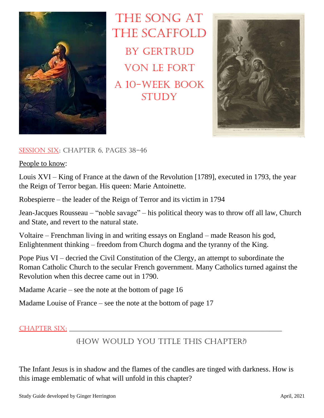

THE SONG AT the Scaffold BY GERTRUD von Le Fort A 10-week book **STUDY** 



## Session Six: Chapter 6, pages 38-46

People to know:

Louis XVI – King of France at the dawn of the Revolution [1789], executed in 1793, the year the Reign of Terror began. His queen: Marie Antoinette.

Robespierre – the leader of the Reign of Terror and its victim in 1794

Jean-Jacques Rousseau – "noble savage" – his political theory was to throw off all law, Church and State, and revert to the natural state.

Voltaire – Frenchman living in and writing essays on England – made Reason his god, Enlightenment thinking – freedom from Church dogma and the tyranny of the King.

Pope Pius VI – decried the Civil Constitution of the Clergy, an attempt to subordinate the Roman Catholic Church to the secular French government. Many Catholics turned against the Revolution when this decree came out in 1790.

Madame Acarie – see the note at the bottom of page 16

Madame Louise of France – see the note at the bottom of page 17

## Chapter Six: \_\_\_\_\_\_\_\_\_\_\_\_\_\_\_\_\_\_\_\_\_\_\_\_\_\_\_\_\_\_\_\_\_\_\_\_\_\_\_\_\_\_\_\_\_\_\_\_\_\_\_\_\_\_\_\_\_\_\_\_\_\_\_\_\_\_\_

## (How would you title this Chapter?)

The Infant Jesus is in shadow and the flames of the candles are tinged with darkness. How is this image emblematic of what will unfold in this chapter?